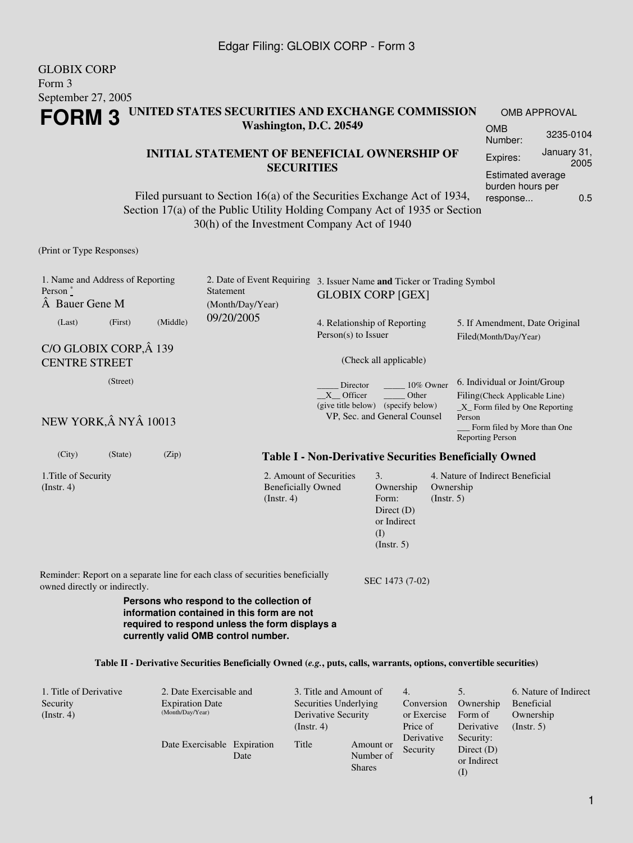#### GLOBIX CORP Form 3 September 27, 2005 **FORM 3 UNITED STATES SECURITIES AND EXCHANGE COMMISSION Washington, D.C. 20549** OMB APPROVAL OMB Number: 3235-0104

#### **INITIAL STATEMENT OF BENEFICIAL OWNERSHIP OF SECURITIES**

Filed pursuant to Section 16(a) of the Securities Exchange Act of 1934, Section 17(a) of the Public Utility Holding Company Act of 1935 or Section 30(h) of the Investment Company Act of 1940

(Print or Type Responses)

| 1. Name and Address of Reporting<br>Person $\degree$<br>A Bauer Gene M                                         | 2. Date of Event Requiring<br><b>Statement</b><br>(Month/Day/Year)                                                                                                              | 3. Issuer Name and Ticker or Trading Symbol<br><b>GLOBIX CORP [GEX]</b>                     |                                                         |                                                                                                                                                                      |  |  |
|----------------------------------------------------------------------------------------------------------------|---------------------------------------------------------------------------------------------------------------------------------------------------------------------------------|---------------------------------------------------------------------------------------------|---------------------------------------------------------|----------------------------------------------------------------------------------------------------------------------------------------------------------------------|--|--|
| (Middle)<br>(Last)<br>(First)                                                                                  | 09/20/2005                                                                                                                                                                      | 4. Relationship of Reporting<br>$Person(s)$ to Issuer                                       |                                                         | 5. If Amendment, Date Original<br>Filed(Month/Day/Year)                                                                                                              |  |  |
| C/O GLOBIX CORP, Â 139<br><b>CENTRE STREET</b>                                                                 |                                                                                                                                                                                 | (Check all applicable)                                                                      |                                                         |                                                                                                                                                                      |  |  |
| (Street)<br>NEW YORK, Â NYÂ 10013                                                                              |                                                                                                                                                                                 | Director<br>X Officer<br>(give title below) (specify below)<br>VP, Sec. and General Counsel | 10% Owner<br>Other                                      | 6. Individual or Joint/Group<br>Filing(Check Applicable Line)<br>$X$ Form filed by One Reporting<br>Person<br>Form filed by More than One<br><b>Reporting Person</b> |  |  |
| (City)<br>(Zip)<br>(State)                                                                                     |                                                                                                                                                                                 |                                                                                             |                                                         | <b>Table I - Non-Derivative Securities Beneficially Owned</b>                                                                                                        |  |  |
| 1. Title of Security<br>$($ Instr. 4 $)$                                                                       | 2. Amount of Securities<br><b>Beneficially Owned</b><br>$($ Instr. 4 $)$                                                                                                        | 3.<br>Form:<br>(I)                                                                          | Ownership<br>Direct $(D)$<br>or Indirect<br>(Insert. 5) | 4. Nature of Indirect Beneficial<br>Ownership<br>(Insert. 5)                                                                                                         |  |  |
| Reminder: Report on a separate line for each class of securities beneficially<br>owned directly or indirectly. | Persons who respond to the collection of<br>information contained in this form are not<br>required to respond unless the form displays a<br>currently valid OMB control number. |                                                                                             | SEC 1473 (7-02)                                         |                                                                                                                                                                      |  |  |
|                                                                                                                | Table II - Derivative Securities Beneficially Owned (e.g., puts, calls, warrants, options, convertible securities)                                                              |                                                                                             |                                                         |                                                                                                                                                                      |  |  |

| 1. Title of Derivative | 2. Date Exercisable and     |      | 3. Title and Amount of |                            | 4.          |              | 6. Nature of Indirect |
|------------------------|-----------------------------|------|------------------------|----------------------------|-------------|--------------|-----------------------|
| Security               | <b>Expiration Date</b>      |      | Securities Underlying  |                            | Conversion  | Ownership    | Beneficial            |
| $($ Instr. 4 $)$       | (Month/Day/Year)            |      | Derivative Security    |                            | or Exercise | Form of      | Ownership             |
|                        |                             |      | $($ Instr. 4 $)$       |                            | Price of    | Derivative   | (Insert. 5)           |
|                        |                             |      |                        |                            | Derivative  | Security:    |                       |
|                        | Date Exercisable Expiration |      | Title                  | Amount or                  | Security    | Direct $(D)$ |                       |
|                        |                             | Date |                        | Number of<br><b>Shares</b> |             | or Indirect  |                       |
|                        |                             |      |                        |                            |             | (I)          |                       |

Expires: January 31,

Estimated average burden hours per response... 0.5

2005